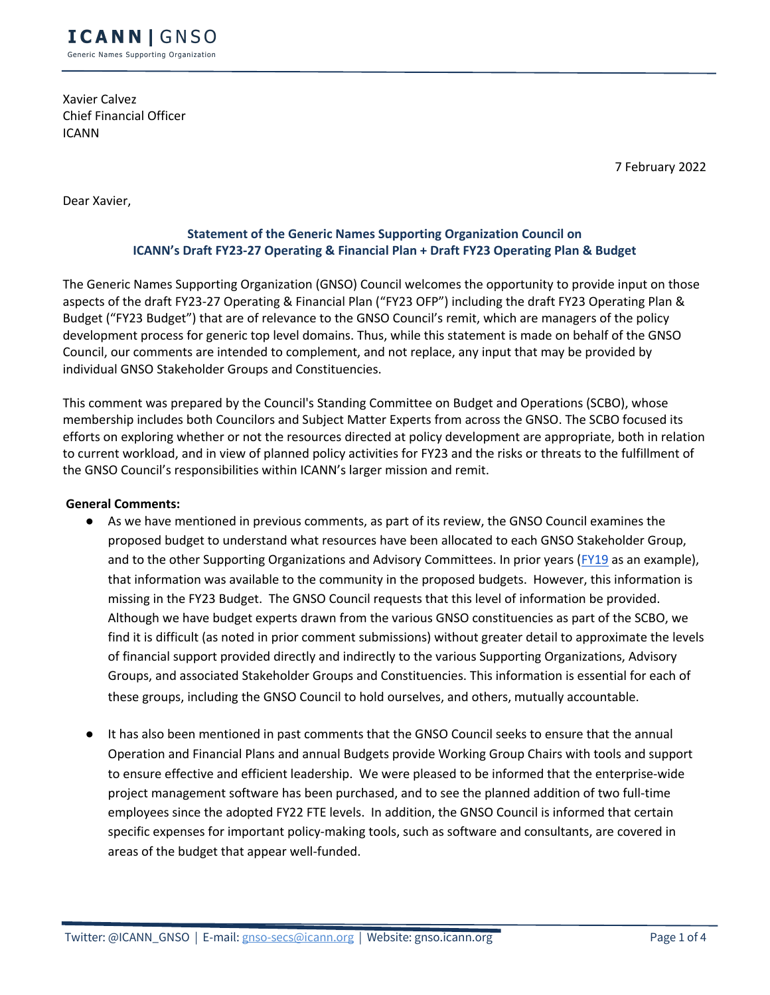Xavier Calvez Chief Financial Officer ICANN

7 February 2022

Dear Xavier,

## **Statement of the Generic Names Supporting Organization Council on ICANN's Draft FY23-27 Operating & Financial Plan + Draft FY23 Operating Plan & Budget**

The Generic Names Supporting Organization (GNSO) Council welcomes the opportunity to provide input on those aspects of the draft FY23-27 Operating & Financial Plan ("FY23 OFP") including the draft FY23 Operating Plan & Budget ("FY23 Budget") that are of relevance to the GNSO Council's remit, which are managers of the policy development process for generic top level domains. Thus, while this statement is made on behalf of the GNSO Council, our comments are intended to complement, and not replace, any input that may be provided by individual GNSO Stakeholder Groups and Constituencies.

This comment was prepared by the Council's Standing Committee on Budget and Operations (SCBO), whose membership includes both Councilors and Subject Matter Experts from across the GNSO. The SCBO focused its efforts on exploring whether or not the resources directed at policy development are appropriate, both in relation to current workload, and in view of planned policy activities for FY23 and the risks or threats to the fulfillment of the GNSO Council's responsibilities within ICANN's larger mission and remit.

### **General Comments:**

- As we have mentioned in previous comments, as part of its review, the GNSO Council examines the proposed budget to understand what resources have been allocated to each GNSO Stakeholder Group, and to the other Supporting Organizations and Advisory Committees. In prior years (FY19 as an example), that information was available to the community in the proposed budgets. However, this information is missing in the FY23 Budget. The GNSO Council requests that this level of information be provided. Although we have budget experts drawn from the various GNSO constituencies as part of the SCBO, we find it is difficult (as noted in prior comment submissions) without greater detail to approximate the levels of financial support provided directly and indirectly to the various Supporting Organizations, Advisory Groups, and associated Stakeholder Groups and Constituencies. This information is essential for each of these groups, including the GNSO Council to hold ourselves, and others, mutually accountable.
- It has also been mentioned in past comments that the GNSO Council seeks to ensure that the annual Operation and Financial Plans and annual Budgets provide Working Group Chairs with tools and support to ensure effective and efficient leadership. We were pleased to be informed that the enterprise-wide project management software has been purchased, and to see the planned addition of two full-time employees since the adopted FY22 FTE levels. In addition, the GNSO Council is informed that certain specific expenses for important policy-making tools, such as software and consultants, are covered in areas of the budget that appear well-funded.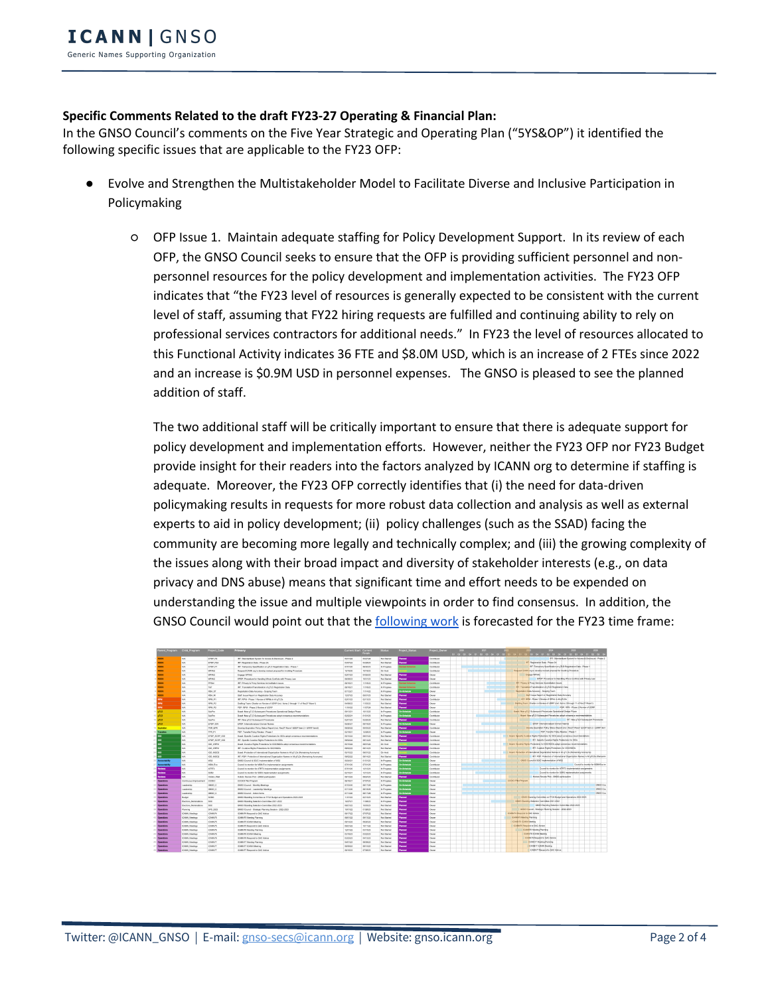# **Specific Comments Related to the draft FY23-27 Operating & Financial Plan:**

In the GNSO Council's comments on the Five Year Strategic and Operating Plan ("5YS&OP") it identified the following specific issues that are applicable to the FY23 OFP:

- Evolve and Strengthen the Multistakeholder Model to Facilitate Diverse and Inclusive Participation in Policymaking
	- OFP Issue 1. Maintain adequate staffing for Policy Development Support. In its review of each OFP, the GNSO Council seeks to ensure that the OFP is providing sufficient personnel and nonpersonnel resources for the policy development and implementation activities. The FY23 OFP indicates that "the FY23 level of resources is generally expected to be consistent with the current level of staff, assuming that FY22 hiring requests are fulfilled and continuing ability to rely on professional services contractors for additional needs." In FY23 the level of resources allocated to this Functional Activity indicates 36 FTE and \$8.0M USD, which is an increase of 2 FTEs since 2022 and an increase is \$0.9M USD in personnel expenses. The GNSO is pleased to see the planned addition of staff.

The two additional staff will be critically important to ensure that there is adequate support for policy development and implementation efforts. However, neither the FY23 OFP nor FY23 Budget provide insight for their readers into the factors analyzed by ICANN org to determine if staffing is adequate. Moreover, the FY23 OFP correctly identifies that (i) the need for data-driven policymaking results in requests for more robust data collection and analysis as well as external experts to aid in policy development; (ii) policy challenges (such as the SSAD) facing the community are becoming more legally and technically complex; and (iii) the growing complexity of the issues along with their broad impact and diversity of stakeholder interests (e.g., on data privacy and DNS abuse) means that significant time and effort needs to be expended on understanding the issue and multiple viewpoints in order to find consensus. In addition, the GNSO Council would point out that the following work is forecasted for the FY23 time frame:

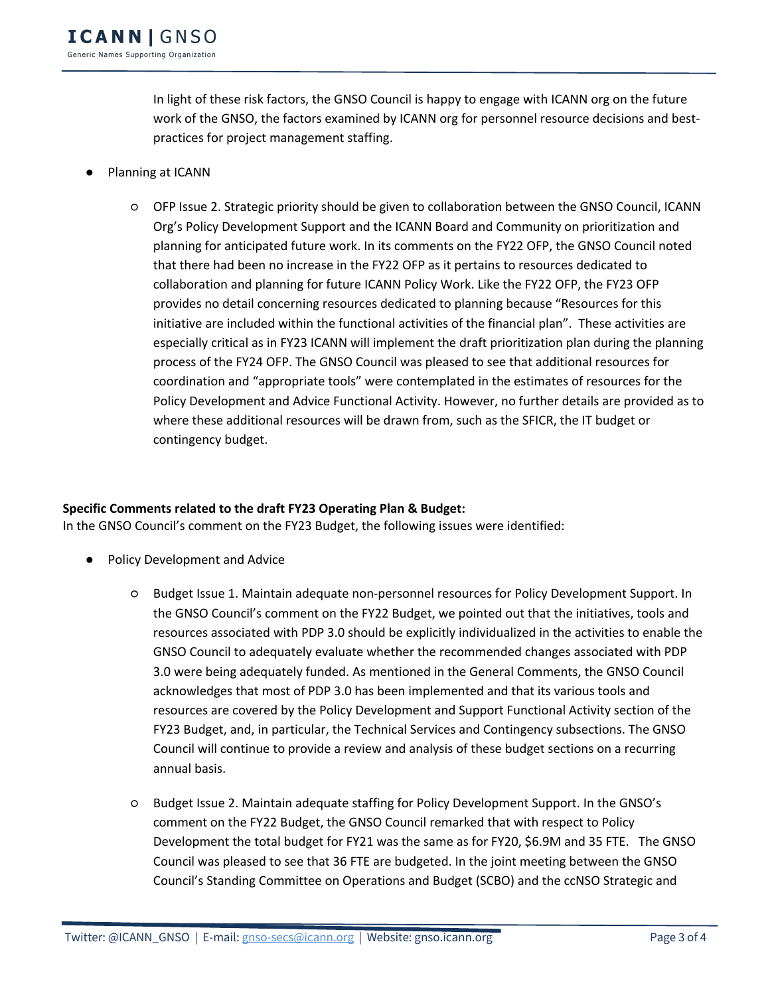In light of these risk factors, the GNSO Council is happy to engage with ICANN org on the future work of the GNSO, the factors examined by ICANN org for personnel resource decisions and bestpractices for project management staffing.

- Planning at ICANN
	- OFP Issue 2. Strategic priority should be given to collaboration between the GNSO Council, ICANN Org's Policy Development Support and the ICANN Board and Community on prioritization and planning for anticipated future work. In its comments on the FY22 OFP, the GNSO Council noted that there had been no increase in the FY22 OFP as it pertains to resources dedicated to collaboration and planning for future ICANN Policy Work. Like the FY22 OFP, the FY23 OFP provides no detail concerning resources dedicated to planning because "Resources for this initiative are included within the functional activities of the financial plan". These activities are especially critical as in FY23 ICANN will implement the draft prioritization plan during the planning process of the FY24 OFP. The GNSO Council was pleased to see that additional resources for coordination and "appropriate tools" were contemplated in the estimates of resources for the Policy Development and Advice Functional Activity. However, no further details are provided as to where these additional resources will be drawn from, such as the SFICR, the IT budget or contingency budget.

### **Specific Comments related to the draft FY23 Operating Plan & Budget:**

In the GNSO Council's comment on the FY23 Budget, the following issues were identified:

- Policy Development and Advice
	- Budget Issue 1. Maintain adequate non-personnel resources for Policy Development Support. In the GNSO Council's comment on the FY22 Budget, we pointed out that the initiatives, tools and resources associated with PDP 3.0 should be explicitly individualized in the activities to enable the GNSO Council to adequately evaluate whether the recommended changes associated with PDP 3.0 were being adequately funded. As mentioned in the General Comments, the GNSO Council acknowledges that most of PDP 3.0 has been implemented and that its various tools and resources are covered by the Policy Development and Support Functional Activity section of the FY23 Budget, and, in particular, the Technical Services and Contingency subsections. The GNSO Council will continue to provide a review and analysis of these budget sections on a recurring annual basis.
	- Budget Issue 2. Maintain adequate staffing for Policy Development Support. In the GNSO's comment on the FY22 Budget, the GNSO Council remarked that with respect to Policy Development the total budget for FY21 was the same as for FY20, \$6.9M and 35 FTE. The GNSO Council was pleased to see that 36 FTE are budgeted. In the joint meeting between the GNSO Council's Standing Committee on Operations and Budget (SCBO) and the ccNSO Strategic and